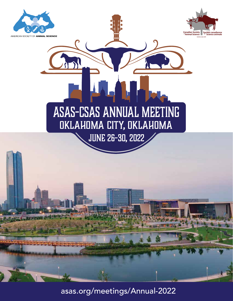

asas.org/meetings/Annual-2022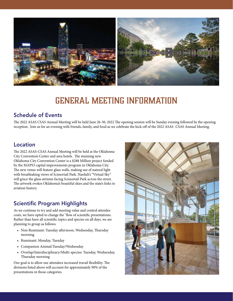

# GENERAL MEETING INFORMATION

## Schedule of Events

The 2022 ASAS CSAS Annual Meeting will be held June 26-30, 2022 The opening session will be Sunday evening followed by the opening reception. Join us for an evening with friends, family, and food as we celebrate the kick-off of the 2022 ASAS -CSAS Annual Meeting.

# Location

The 2022 ASAS-CSAS Annual Meeting will be held at the Oklahoma City Convention Center and area hotels. The stunning new Oklahoma City Convention Center is a \$288 Million project funded by the MAPS3 capital improvements program in Oklahoma City. The new venue will feature glass walls, making use of natural light with breathtaking views of Scissortail Park. Narduli's "Virtual Sky" will grace the glass atriums facing Scissortail Park across the street. The artwork evokes Oklahoma's beautiful skies and the state's links to aviation history.

# Scientific Program Highlights

As we continue to try and add meeting value and control attendee costs, we have opted to change the "flow of scientific presentations. Rather than have all scientific topics and species on all days, we are planning to group as follows:

- Non Ruminant: Tuesday afternoon, Wednesday, Thursday morning
- Ruminant: Monday, Tuesday
- Companion Animal:Tuesday/Wednesday
- Overlap/Interdisciplinary/Multi-species: Tuesday, Wednesday, Thursday morning

Our goal is to allow our attendees increased travail flexibility. The divisions listed above will account for approximately 90% of the presentations in those categories.

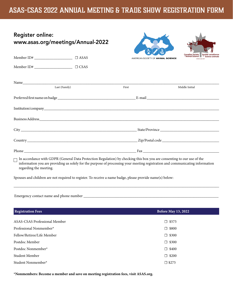# ASAS-CSAS 2022 Annual Meeting & Trade Show Registration Form

| <b>Register online:</b>           |  |
|-----------------------------------|--|
| www.asas.org/meetings/Annual-2022 |  |





|                                            |       | AMERICAN SOCIETY OF ANIMAL SCIENCE | <sup>ot</sup> Animal Science Nunde Science animale<br>www.csas.net |
|--------------------------------------------|-------|------------------------------------|--------------------------------------------------------------------|
| Member ID# ________________________ □ CSAS |       |                                    |                                                                    |
|                                            |       |                                    |                                                                    |
| Last (Family)                              | First |                                    | Middle Initial                                                     |
|                                            |       |                                    |                                                                    |
|                                            |       |                                    |                                                                    |
|                                            |       |                                    |                                                                    |
|                                            |       |                                    | State/Province                                                     |
|                                            |       |                                    |                                                                    |
|                                            |       |                                    |                                                                    |
|                                            |       |                                    |                                                                    |

In accordance with GDPR (General Data Protection Regulation) by checking this box you are consenting to our use of the information you are providing us solely for the purpose of processing your meeting registration and communicating information regarding the meeting.

\_\_\_\_\_\_\_\_\_\_\_\_\_\_\_\_\_\_\_\_\_\_\_\_\_\_\_\_\_\_\_\_\_\_\_\_\_\_\_\_\_\_\_\_\_\_\_\_\_\_\_\_\_\_\_\_\_\_\_\_\_\_\_\_\_\_\_\_\_\_\_\_\_\_\_\_\_\_\_\_\_\_\_\_\_\_\_\_\_\_\_\_\_\_\_\_\_\_\_\_\_\_\_\_\_\_\_\_

Spouses and children are not required to register. To receive a name badge, please provide name(s) below:

Emergency contact name and phone number \_\_\_\_\_\_\_\_\_\_\_\_\_\_\_\_\_\_\_\_\_\_\_\_\_\_\_\_\_\_\_\_\_\_\_\_\_\_\_\_\_\_\_\_\_\_\_\_\_\_\_\_\_\_\_\_\_\_\_\_\_\_\_\_\_\_\_\_\_\_\_

| <b>Before May 13, 2022</b> |  |
|----------------------------|--|
| $\square$ \$575            |  |
| $\Box$ \$800               |  |
| $\Box$ \$300               |  |
| $\Box$ \$300               |  |
| $\Box$ \$400               |  |
| $\Box$ \$200               |  |
| $\Box$ \$275               |  |
|                            |  |

**\*Nonmembers: Become a member and save on meeting registration fees, visit ASAS.org.**